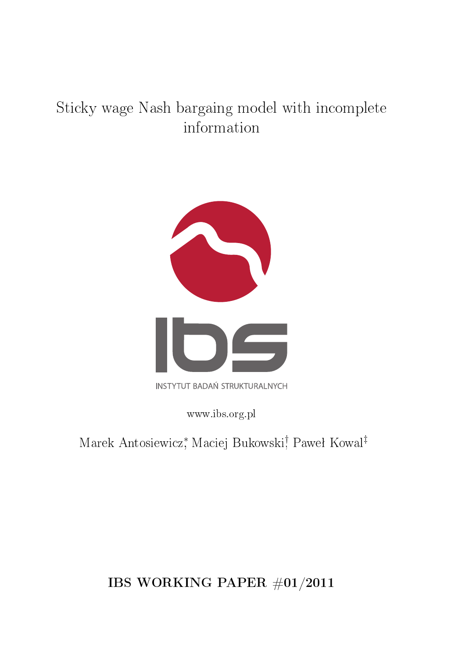# Sticky wage Nash bargaing model with incomplete information



www.ibs.org.pl

Marek Antosiewicz, Maciej Bukowski, Paweł Kowal<sup>‡</sup>

IBS WORKING PAPER  $\#01/2011$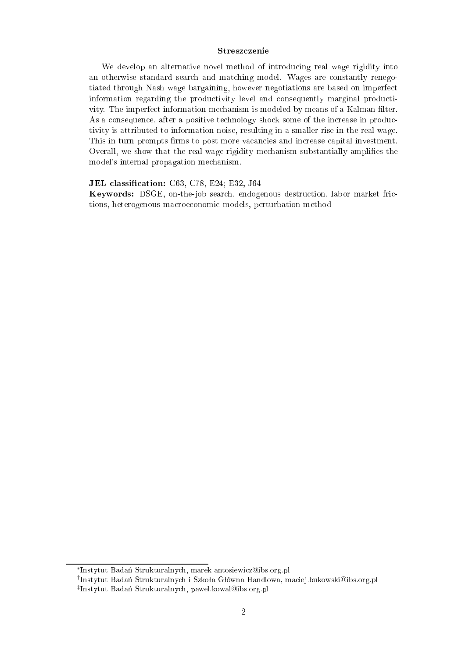### Streszczenie

We develop an alternative novel method of introducing real wage rigidity into an otherwise standard search and matching model. Wages are constantly renegotiated through Nash wage bargaining, however negotiations are based on imperfect information regarding the productivity level and consequently marginal productivity. The imperfect information mechanism is modeled by means of a Kalman filter. As a consequence, after a positive technology shock some of the increase in productivity is attributed to information noise, resulting in a smaller rise in the real wage. This in turn prompts firms to post more vacancies and increase capital investment. Overall, we show that the real wage rigidity mechanism substantially amplifies the model's internal propagation mechanism.

### JEL classification: C63, C78, E24; E32, J64

Keywords: DSGE, on-the-job search, endogenous destruction, labor market frictions, heterogenous macroeconomic models, perturbation method

<sup>\*</sup>Instytut Badań Strukturalnych, marek.antosiewicz@ibs.org.pl

<sup>&</sup>lt;sup>†</sup>Instytut Badań Strukturalnych i Szkoła Główna Handlowa, maciej.bukowski@ibs.org.pl <sup>‡</sup>Instytut Badań Strukturalnych, pawel.kowal@ibs.org.pl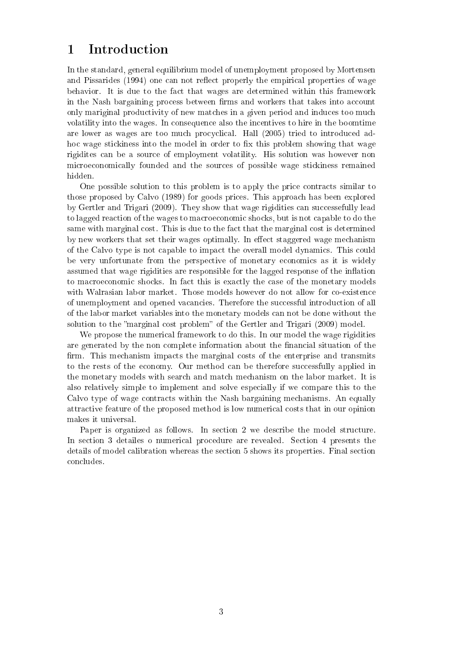## 1 Introduction

In the standard, general equilibrium model of unemployment proposed by Mortensen and Pissarides (1994) one can not reflect properly the empirical properties of wage behavior. It is due to the fact that wages are determined within this framework in the Nash bargaining process between firms and workers that takes into account only mariginal productivity of new matches in a given period and induces too much volatility into the wages. In consequence also the incentives to hire in the boomtime are lower as wages are too much procyclical. Hall (2005) tried to introduced adhoc wage stickiness into the model in order to fix this problem showing that wage rigidites an be a sour
e of employment volatility. His solution was however non microeconomically founded and the sources of possible wage stickiness remained hidden.

One possible solution to this problem is to apply the price contracts similar to those proposed by Calvo (1989) for goods pri
es. This approa
h has been explored by Gertler and Trigari (2009). They show that wage rigidities can successefully lead to lagged reaction of the wages to macroeconomic shocks, but is not capable to do the same with marginal cost. This is due to the fact that the marginal cost is determined by new workers that set their wages optimally. In effect staggered wage mechanism of the Calvo type is not apable to impa
t the overall model dynami
s. This ould be very unfortunate from the perspe
tive of monetary e
onomi
s as it is widely assumed that wage rigidities are responsible for the lagged response of the inflation to macroeconomic shocks. In fact this is exactly the case of the monetary models with Walrasian labor market. Those models however do not allow for co-existence of unemployment and opened vacancies. Therefore the successful introduction of all of the labor market variables into the monetary models an not be done without the solution to the "marginal cost problem" of the Gertler and Trigari (2009) model.

We propose the numerical framework to do this. In our model the wage rigidities are generated by the non complete information about the financial situation of the firm. This mechanism impacts the marginal costs of the enterprise and transmits to the rests of the economy. Our method can be therefore successfully applied in the monetary models with sear
h and mat
h me
hanism on the labor market. It is also relatively simple to implement and solve espe
ially if we ompare this to the Calvo type of wage contracts within the Nash bargaining mechanisms. An equally attra
tive feature of the proposed method is low numeri
al osts that in our opinion makes it universal.

Paper is organized as follows. In section 2 we describe the model structure. In section 3 detailes o numerical procedure are revealed. Section 4 presents the details of model alibration whereas the se
tion 5 shows its properties. Final se
tion on
ludes.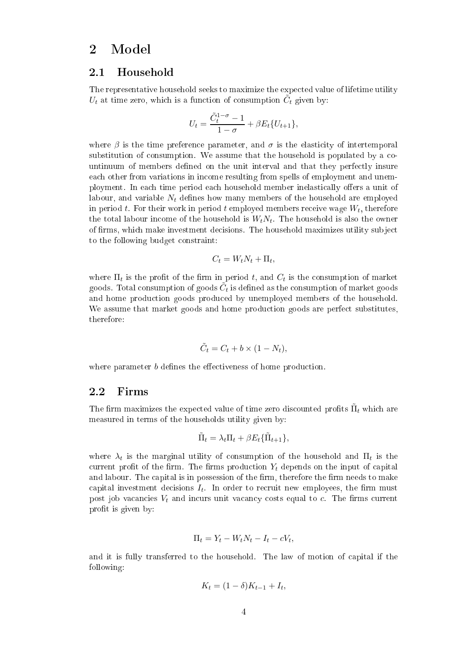### 2 Model

#### 2.1Household

The representative household seeks to maximize the expected value of lifetime utility  $U_t$  at time zero, which is a function of consumption  $\tilde{C}_t$  given by:

$$
U_t = \frac{\tilde{C}_t^{1-\sigma} - 1}{1 - \sigma} + \beta E_t \{ U_{t+1} \},
$$

where  $\beta$  is the time preference parameter, and  $\sigma$  is the elasticity of intertemporal substitution of consumption. We assume that the household is populated by a countinuum of members defined on the unit interval and that they perfectly insure ea
h other from variations in in
ome resulting from spells of employment and unemployment. In each time period each household member inelastically offers a unit of labour, and variable  $N_t$  defines how many members of the household are employed in period  $t.$  For their work in period  $t$  employed members receive wage  $W_t,$  therefore the total labour income of the household is  $W_t N_t$ . The household is also the owner of firms, which make investment decisions. The household maximizes utility subject to the following budget onstraint:

$$
C_t = W_t N_t + \Pi_t,
$$

where  $\Pi_t$  is the profit of the firm in period  $t,$  and  $C_t$  is the consumption of market goods. Total consumption of goods  $\tilde{C}_t$  is defined as the consumption of market goods and home produ
tion goods produ
ed by unemployed members of the household. We assume that market goods and home production goods are perfect substitutes. therefore:

$$
\tilde{C}_t = C_t + b \times (1 - N_t),
$$

where parameter  $b$  defines the effectiveness of home production.

#### 2.2Firms

The firm maximizes the expected value of time zero discounted profits  $\tilde{\Pi}_t$  which are measured in terms of the households utility given by:

$$
\tilde{\Pi}_t = \lambda_t \Pi_t + \beta E_t \{ \tilde{\Pi}_{t+1} \},
$$

where  $\lambda_t$  is the marginal utility of consumption of the household and  $\Pi_t$  is the current profit of the firm. The firms production  $Y_t$  depends on the input of capital and labour. The capital is in possession of the firm, therefore the firm needs to make capital investment decisions  $I_t$ . In order to recruit new employees, the firm must post job vacancies  $V_t$  and incurs unit vacancy costs equal to c. The firms current profit is given by:

$$
\Pi_t = Y_t - W_t N_t - I_t - cV_t,
$$

and it is fully transferred to the household. The law of motion of apital if the following:

$$
K_t = (1 - \delta)K_{t-1} + I_t,
$$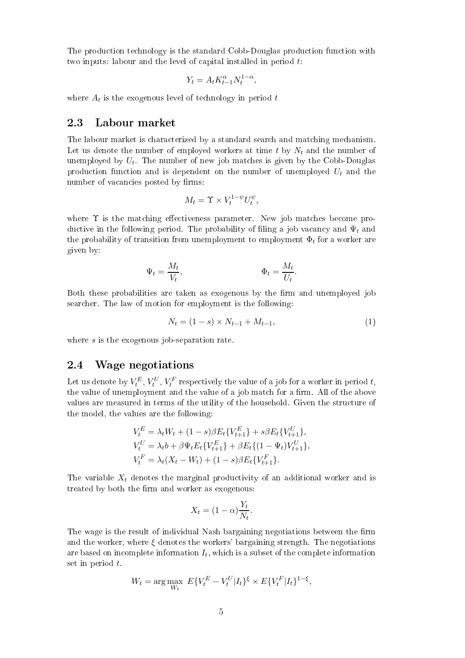The produ
tion te
hnology is the standard Cobb-Douglas produ
tion fun
tion with two inputs: labour and the level of capital installed in period  $t$ .

$$
Y_t = A_t K_{t-1}^{\alpha} N_t^{1-\alpha},
$$

where  $A_t$  is the exogenous level of technology in period  $t$ 

#### 2.3Labour market

The labour market is hara
terized by a standard sear
h and mat
hing me
hanism. Let us denote the number of employed workers at time t by  $N_t$  and the number of unemployed by  $U_t$ . The number of new job matches is given by the Cobb-Douglas production function and is dependent on the number of unemployed  $U_t$  and the number of vacancies posted by firms:

$$
M_t = \Upsilon \times V_t^{1-\psi} U_t^{\psi},
$$

where  $\Upsilon$  is the matching effectiveness parameter. New job matches become productive in the following period. The probability of filing a job vacancy and  $\Psi_t$  and the probability of transition from unemployment to employment  $\Phi_t$  for a worker are given by:

$$
\Psi_t = \frac{M_t}{V_t}, \qquad \qquad \Phi_t = \frac{M_t}{U_t}.
$$

Both these probabilities are taken as exogenous by the firm and unemployed job sear
her. The law of motion for employment is the following:

$$
N_t = (1 - s) \times N_{t-1} + M_{t-1}, \tag{1}
$$

where s is the exogenous job-separation rate.

#### 2.4Wage negotiations

Let us denote by  $V_t^E, V_t^U, V_t^F$  respectively the value of a job for a worker in period  $t,$ the value of unemployment and the value of a job match for a firm. All of the above values are measured in terms of the utility of the household. Given the structure of the model, the values are the following:

$$
V_t^E = \lambda_t W_t + (1 - s)\beta E_t \{V_{t+1}^E\} + s\beta E_t \{V_{t+1}^U\},
$$
  
\n
$$
V_t^U = \lambda_t b + \beta \Psi_t E_t \{V_{t+1}^E\} + \beta E_t \{ (1 - \Psi_t) V_{t+1}^U\},
$$
  
\n
$$
V_t^F = \lambda_t (X_t - W_t) + (1 - s)\beta E_t \{V_{t+1}^F\}.
$$

The variable  $X_t$  denotes the marginal productivity of an additional worker and is treated by both the firm and worker as exogenous:

$$
X_t = (1 - \alpha) \frac{Y_t}{N_t}.
$$

The wage is the result of individual Nash bargaining negotiations between the firm and the worker, where  $\xi$  denotes the workers' bargaining strength. The negotiations are based on incomplete information  $I_t,$  which is a subset of the complete information set in period t.

$$
W_t = \arg\max_{W_t} E\{V_t^E - V_t^U | I_t\}^{\xi} \times E\{V_t^F | I_t\}^{1-\xi},
$$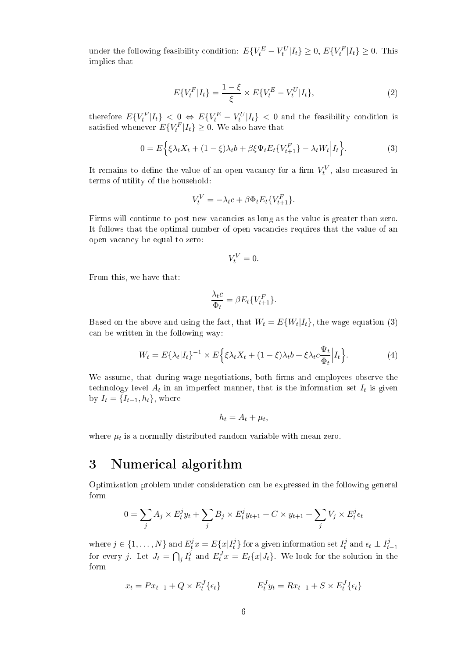under the following feasibility condition:  $E\{V_t^E - V_t^U | I_t\} \ge 0, E\{V_t^F | I_t\} \ge 0$ . This implies that

$$
E\{V_t^F|I_t\} = \frac{1-\xi}{\xi} \times E\{V_t^E - V_t^U|I_t\},\tag{2}
$$

therefore  $E\{V_t^F|I_t\} < 0 \Leftrightarrow E\{V_t^E-V_t^U|I_t\} < 0$  and the feasibility condition is satisfied whenever  $E\{V_t^F|I_t\} \geq 0$ . We also have that

$$
0 = E\Big\{\xi\lambda_t X_t + (1 - \xi)\lambda_t b + \beta \xi \Psi_t E_t \{V_{t+1}^F\} - \lambda_t W_t \Big| I_t \Big\}.
$$
 (3)

It remains to define the value of an open vacancy for a firm  $V_t^V$ , also measured in terms of utility of the household:

$$
V_t^V = -\lambda_t c + \beta \Phi_t E_t \{ V_{t+1}^F \}.
$$

Firms will continue to post new vacancies as long as the value is greater than zero. It follows that the optimal number of open vacancies requires that the value of an open va
an
y be equal to zero:

$$
V_t^V=0.
$$

From this, we have that:

$$
\frac{\lambda_t c}{\Phi_t} = \beta E_t \{ V_{t+1}^F \}.
$$

Based on the above and using the fact, that  $W_t = E\{W_t|I_t\}$ , the wage equation (3) an be written in the following way:

$$
W_t = E\{\lambda_t | I_t\}^{-1} \times E\Big\{\xi\lambda_t X_t + (1-\xi)\lambda_t b + \xi\lambda_t c \frac{\Psi_t}{\Phi_t} \Big| I_t\Big\}.
$$
 (4)

We assume, that during wage negotiations, both firms and employees observe the technology level  $A_t$  in an imperfect manner, that is the information set  $I_t$  is given by  $I_t = \{I_{t-1}, h_t\}$ , where

$$
h_t = A_t + \mu_t,
$$

where  $\mu_t$  is a normally distributed random variable with mean zero.

#### Numerical algorithm 3

Optimization problem under onsideration an be expressed in the following general form

$$
0 = \sum_{j} A_j \times E_t^j y_t + \sum_{j} B_j \times E_t^j y_{t+1} + C \times y_{t+1} + \sum_{j} V_j \times E_t^j \epsilon_t
$$

where  $j \in \{1, \ldots, N\}$  and  $E_t^j x = E\{x | I_t^j\}$  $t\overline{t}^{j}$  for a given information set  $I_t^j$  $t^j$  and  $\epsilon_t \perp I^j_{t-1}$ for every j. Let  $J_t = \bigcap_j I_t^j$  $t_t^j$  and  $E_t^J x = E_t\{x|J_t\}$ . We look for the solution in the form

$$
x_t = Px_{t-1} + Q \times E_t^J \{ \epsilon_t \} \qquad E_t^J y_t = Rx_{t-1} + S \times E_t^J \{ \epsilon_t \}
$$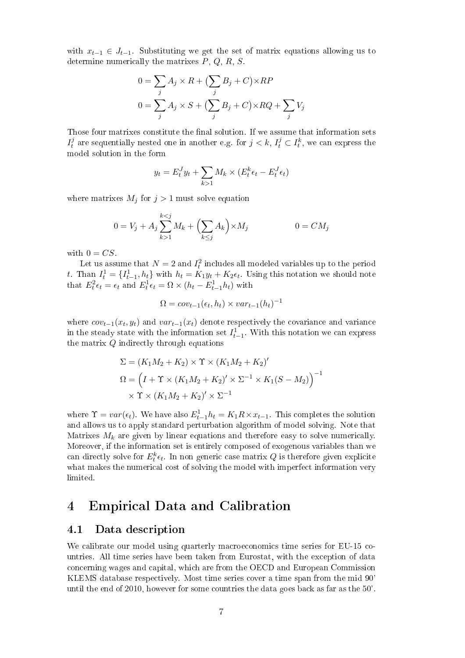with  $x_{t-1} \in J_{t-1}$ . Substituting we get the set of matrix equations allowing us to determine numerically the matrixes  $P, Q, R, S$ .

$$
0 = \sum_{j} A_j \times R + (\sum_{j} B_j + C) \times RP
$$
  

$$
0 = \sum_{j} A_j \times S + (\sum_{j} B_j + C) \times RQ + \sum_{j} V_j
$$

Those four matrixes constitute the final solution. If we assume that information sets  $I^j_t$  $t^j_t$  are sequentially nested one in another e.g. for  $j < k, I^j_t \subset I^k_t,$  we can express the model solution in the form

$$
y_t = E_t^J y_t + \sum_{k>1} M_k \times (E_t^k \epsilon_t - E_t^J \epsilon_t)
$$

where matrixes  $M_j$  for  $j > 1$  must solve equation

$$
0 = V_j + A_j \sum_{k>1}^{k
$$

with  $0 = CS$ .

Let us assume that  $N=2$  and  $I_t^2$  includes all modeled variables up to the period t. Than  $I_t^1 = \{I_{t-1}^1, h_t\}$  with  $h_t = K_1 y_t + K_2 \epsilon_t$ . Using this notation we should note that  $E_t^2 \epsilon_t = \epsilon_t$  and  $E_t^1 \epsilon_t = \Omega \times (h_t - E_{t-1}^1 h_t)$  with

$$
\Omega = cov_{t-1}(\epsilon_t, h_t) \times var_{t-1}(h_t)^{-1}
$$

where  $cov_{t-1}(x_t, y_t)$  and  $var_{t-1}(x_t)$  denote respectively the covariance and variance in the steady state with the information set  $I_{t-1}^1$ . With this notation we can express the matrix  $Q$  indirectly through equations

$$
\Sigma = (K_1 M_2 + K_2) \times \Upsilon \times (K_1 M_2 + K_2)'
$$
  
\n
$$
\Omega = \left(I + \Upsilon \times (K_1 M_2 + K_2)' \times \Sigma^{-1} \times K_1 (S - M_2)\right)^{-1}
$$
  
\n
$$
\times \Upsilon \times (K_1 M_2 + K_2)' \times \Sigma^{-1}
$$

where  $\Upsilon = var(\epsilon_t)$ . We have also  $E_{t-1}^1 h_t = K_1 R \times x_{t-1}$ . This completes the solution and allows us to apply standard perturbation algorithm of model solving. Note that Matrixes  $M_k$  are given by linear equations and therefore easy to solve numerically. Moreover, if the information set is entirely omposed of exogenous variables than we can directly solve for  $E_t^k \epsilon_t$ . In non generic case matrix  $Q$  is therefore given explicite what makes the numerical cost of solving the model with imperfect information very limited.

### 4 Empiri
al Data and Calibration

#### 4.1Data des
ription

We calibrate our model using quarterly macroeconomics time series for EU-15 countries. All time series have been taken from Eurostat, with the ex
eption of data on
erning wages and apital, whi
h are from the OECD and European Commission KLEMS database respe
tively. Most time series over a time span from the mid 90' until the end of 2010, however for some ountries the data goes ba
k as far as the 50'.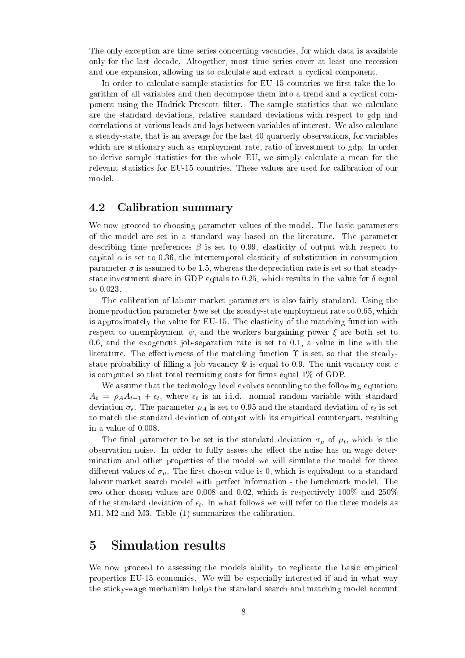The only exception are time series concerning vacancies, for which data is available only for the last de
ade. Altogether, most time series over at least one re
ession and one expansion, allowing us to calculate and extract a cyclical component.

In order to calculate sample statistics for EU-15 countries we first take the logarithm of all variables and then decompose them into a trend and a cyclical component using the Hodrick-Prescott filter. The sample statistics that we calculate are the standard deviations, relative standard deviations with respect to gdp and correlations at various leads and lags between variables of interest. We also calculate a steady-state, that is an average for the last 40 quarterly observations, for variables which are stationary such as employment rate, ratio of investment to gdp. In order to derive sample statistics for the whole EU, we simply calculate a mean for the relevant statistics for EU-15 countries. These values are used for calibration of our model.

#### 4.2Calibration summary

We now proceed to choosing parameter values of the model. The basic parameters of the model are set in a standard way based on the literature. The parameter describing time preferences  $\beta$  is set to 0.99, elasticity of output with respect to capital  $\alpha$  is set to 0.36, the intertemporal elasticity of substitution in consumption parameter  $\sigma$  is assumed to be 1.5, whereas the depreciation rate is set so that steadystate investment share in GDP equals to 0.25, which results in the value for  $\delta$  equal to 0.023.

The alibration of labour market parameters is also fairly standard. Using the home production parameter b we set the steady-state employment rate to 0.65, which is approximately the value for EU-15. The elasticity of the matching function with respect to unemployment  $\psi$ , and the workers bargaining power  $\xi$  are both set to 0.6, and the exogenous job-separation rate is set to 0.1, a value in line with the literature. The effectiveness of the matching function  $\Upsilon$  is set, so that the steadystate probability of filling a job vacancy  $\Psi$  is equal to 0.9. The unit vacancy cost c is computed so that total recruiting costs for firms equal  $1\%$  of GDP.

We assume that the technology level evolves according to the following equation:  $A_t = \rho_A A_{t-1} + \epsilon_t$ , where  $\epsilon_t$  is an i.i.d. normal random variable with standard deviation  $\sigma_{\epsilon}$ . The parameter  $\rho_A$  is set to 0.95 and the standard deviation of  $\epsilon_t$  is set to mat
h the standard deviation of output with its empiri
al ounterpart, resulting in a value of 0.008.

The final parameter to be set is the standard deviation  $\sigma_\mu$  of  $\mu_t$ , which is the observation noise. In order to fully assess the effect the noise has on wage determination and other properties of the model we will simulate the model for three different values of  $\sigma_{\mu}$ . The first chosen value is 0, which is equivalent to a standard labour market sear
h model with perfe
t information - the ben
hmark model. The two other chosen values are 0.008 and 0.02, which is respectively 100% and 250% of the standard deviation of  $\epsilon_t$ . In what follows we will refer to the three models as M1, M2 and M3. Table (1) summarizes the alibration.

### 5 Simulation results

We now proceed to assessing the models ability to replicate the basic empirical properties EU-15 e
onomies. We will be espe
ially interested if and in what way the sticky-wage mechanism helps the standard search and matching model account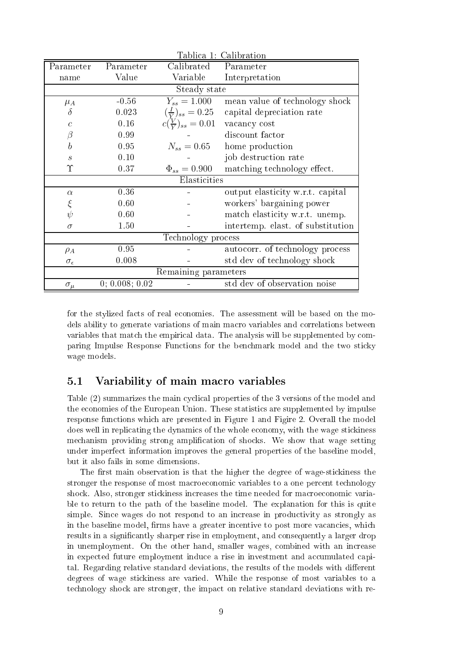| Tablica 1: Calibration      |                |                              |                                   |  |  |  |  |
|-----------------------------|----------------|------------------------------|-----------------------------------|--|--|--|--|
| Parameter                   | Parameter      | Calibrated                   | Parameter                         |  |  |  |  |
| name                        | Value          | Variable                     | Interpretation                    |  |  |  |  |
| Steady state                |                |                              |                                   |  |  |  |  |
| $\mu_A$                     | $-0.56$        | $Y_{ss} = 1.000$             | mean value of technology shock    |  |  |  |  |
| $\delta$                    | 0.023          | $(\frac{I}{V})_{ss} = 0.25$  | capital depreciation rate         |  |  |  |  |
| $\overline{c}$              | 0.16           | $c(\frac{V}{V})_{ss} = 0.01$ | vacancy cost                      |  |  |  |  |
| $\beta$                     | 0.99           |                              | discount factor                   |  |  |  |  |
| $\boldsymbol{b}$            | 0.95           | $N_{ss} = 0.65$              | home production                   |  |  |  |  |
| $\mathcal{S}_{\mathcal{S}}$ | 0.10           |                              | job destruction rate              |  |  |  |  |
| Υ                           | 0.37           | $\Phi_{ss} = 0.900$          | matching technology effect.       |  |  |  |  |
| Elasticities                |                |                              |                                   |  |  |  |  |
| $\alpha$                    | 0.36           |                              | output elasticity w.r.t. capital  |  |  |  |  |
| ξ                           | 0.60           |                              | workers' bargaining power         |  |  |  |  |
| $\psi$                      | 0.60           |                              | match elasticity w.r.t. unemp.    |  |  |  |  |
| $\sigma$                    | 1.50           |                              | intertemp. elast. of substitution |  |  |  |  |
| Technology process          |                |                              |                                   |  |  |  |  |
| $\rho_A$                    | 0.95           |                              | autocorr. of technology process   |  |  |  |  |
| $\sigma_{\epsilon}$         | 0.008          |                              | std dev of technology shock       |  |  |  |  |
| Remaining parameters        |                |                              |                                   |  |  |  |  |
| $\sigma_{\underline{\mu}}$  | 0; 0.008; 0.02 |                              | std dev of observation noise      |  |  |  |  |

for the stylized facts of real economies. The assessment will be based on the models ability to generate variations of main macro variables and correlations between variables that match the empirical data. The analysis will be supplemented by comparing Impulse Response Functions for the benchmark model and the two sticky wage models.

#### $5.1$ Variability of main macro variables

Table (2) summarizes the main cyclical properties of the 3 versions of the model and the economies of the European Union. These statistics are supplemented by impulse response functions which are presented in Figure 1 and Figire 2. Overall the model does well in replicating the dynamics of the whole economy, with the wage stickiness mechanism providing strong amplification of shocks. We show that wage setting under imperfect information improves the general properties of the baseline model, but it also fails in some dimensions.

The first main observation is that the higher the degree of wage-stickiness the stronger the response of most macroeconomic variables to a one percent technology shock. Also, stronger stickiness increases the time needed for macroeconomic variable to return to the path of the baseline model. The explanation for this is quite simple. Since wages do not respond to an increase in productivity as strongly as in the baseline model, firms have a greater incentive to post more vacancies, which results in a significantly sharper rise in employment, and consequently a larger drop in unemployment. On the other hand, smaller wages, combined with an increase in expected future employment induce a rise in investment and accumulated capital. Regarding relative standard deviations, the results of the models with different degrees of wage stickiness are varied. While the response of most variables to a technology shock are stronger, the impact on relative standard deviations with re-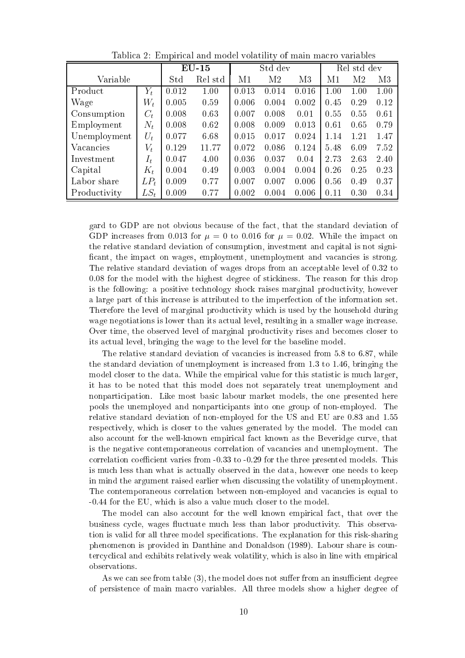|              |        | $EU-15$ |         |       | Std dev | Rel std dev |      |      |      |
|--------------|--------|---------|---------|-------|---------|-------------|------|------|------|
| Variable     |        | Std     | Rel std | M1    | M2      | M3          | М1   | M2   | M3   |
| Product      | $Y_t$  | 0.012   | 1.00    | 0.013 | 0.014   | 0.016       | 1.00 | 1.00 | 1.00 |
| Wage         | $W_t$  | 0.005   | 0.59    | 0.006 | 0.004   | 0.002       | 0.45 | 0.29 | 0.12 |
| Consumption  | $C_t$  | 0.008   | 0.63    | 0.007 | 0.008   | 0.01        | 0.55 | 0.55 | 0.61 |
| Employment   | $N_t$  | 0.008   | 0.62    | 0.008 | 0.009   | 0.013       | 0.61 | 0.65 | 0.79 |
| Unemployment | $U_t$  | 0.077   | 6.68    | 0.015 | 0.017   | 0.024       | 1.14 | 1.21 | 1.47 |
| Vacancies    | $V_t$  | 0.129   | 11.77   | 0.072 | 0.086   | 0.124       | 5.48 | 6.09 | 7.52 |
| Investment   | $I_t$  | 0.047   | 4.00    | 0.036 | 0.037   | 0.04        | 2.73 | 2.63 | 2.40 |
| Capital      | $K_t$  | 0.004   | 0.49    | 0.003 | 0.004   | 0.004       | 0.26 | 0.25 | 0.23 |
| Labor share  | $LP_t$ | 0.009   | 0.77    | 0.007 | 0.007   | 0.006       | 0.56 | 0.49 | 0.37 |
| Productivity | $LS_t$ | 0.009   | 0.77    | 0.002 | 0.004   | 0.006       | 0.11 | 0.30 | 0.34 |

Tablica 2: Empirical and model volatility of main macro variables

gard to GDP are not obvious because of the fact, that the standard deviation of GDP increases from 0.013 for  $\mu = 0$  to 0.016 for  $\mu = 0.02$ . While the impact on the relative standard deviation of consumption, investment and capital is not significant, the impact on wages, employment, unemployment and vacancies is strong. The relative standard deviation of wages drops from an acceptable level of 0.32 to 0.08 for the model with the highest degree of stickiness. The reason for this drop is the following: a positive technology shock raises marginal productivity, however a large part of this increase is attributed to the imperfection of the information set. Therefore the level of marginal productivity which is used by the household during wage negotiations is lower than its actual level, resulting in a smaller wage increase. Over time, the observed level of marginal productivity rises and becomes closer to its actual level, bringing the wage to the level for the baseline model.

The relative standard deviation of vacancies is increased from 5.8 to 6.87, while the standard deviation of unemployment is increased from 1.3 to 1.46, bringing the model closer to the data. While the empirical value for this statistic is much larger. it has to be noted that this model does not separately treat unemployment and nonparticipation. Like most basic labour market models, the one presented here pools the unemployed and nonparticipants into one group of non-employed. The relative standard deviation of non-employed for the US and EU are 0.83 and 1.55 respectively, which is closer to the values generated by the model. The model can also account for the well-known empirical fact known as the Beveridge curve, that is the negative contemporaneous correlation of vacancies and unemployment. The correlation coefficient varies from -0.33 to -0.29 for the three presented models. This is much less than what is actually observed in the data, however one needs to keep in mind the argument raised earlier when discussing the volatility of unemployment. The contemporaneous correlation between non-employed and vacancies is equal to  $-0.44$  for the EU, which is also a value much closer to the model.

The model can also account for the well known empirical fact, that over the business cycle, wages fluctuate much less than labor productivity. This observation is valid for all three model specifications. The explanation for this risk-sharing phenomenon is provided in Danthine and Donaldson (1989). Labour share is countercyclical and exhibits relatively weak volatility, which is also in line with empirical observations.

As we can see from table (3), the model does not suffer from an insufficient degree of persistence of main macro variables. All three models show a higher degree of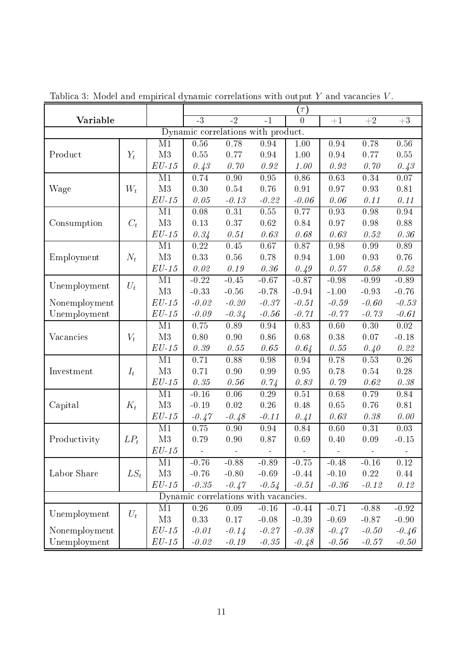| Tablica 3: Model and empirical dynamic correlations with output $Y$ and vacancies $V$ . |        |                 |                   |          |          |                |          |          |          |  |
|-----------------------------------------------------------------------------------------|--------|-----------------|-------------------|----------|----------|----------------|----------|----------|----------|--|
|                                                                                         |        |                 | $(\tau)$          |          |          |                |          |          |          |  |
| Variable                                                                                |        |                 | $-3$              | $-2$     | $-1$     | $\overline{0}$ | $+1$     | $+2$     | $+3$     |  |
| Dynamic correlations with product.                                                      |        |                 |                   |          |          |                |          |          |          |  |
|                                                                                         |        | M1              | $0.\overline{56}$ | 0.78     | 0.94     | 1.00           | 0.94     | 0.78     | $0.56\,$ |  |
| Product                                                                                 | $Y_t$  | M <sub>3</sub>  | 0.55              | 0.77     | 0.94     | 1.00           | 0.94     | 0.77     | 0.55     |  |
|                                                                                         |        | $EU-15$         | 0.43              | 0.70     | 0.92     | 1.00           | 0.92     | 0.70     | 0.43     |  |
| Wage                                                                                    |        | M <sub>1</sub>  | 0.74              | 0.90     | 0.95     | 0.86           | 0.63     | 0.34     | 0.07     |  |
|                                                                                         | $W_t$  | M3              | 0.30              | 0.54     | 0.76     | 0.91           | 0.97     | 0.93     | 0.81     |  |
|                                                                                         |        | $EU-15$         | 0.05              | $-0.13$  | $-0.22$  | $-0.06$        | 0.06     | 0.11     | 0.11     |  |
|                                                                                         |        | M <sub>1</sub>  | 0.08              | 0.31     | 0.55     | 0.77           | 0.93     | 0.98     | 0.94     |  |
| Consumption                                                                             | $C_t$  | M3              | 0.13              | 0.37     | 0.62     | 0.84           | 0.97     | 0.98     | 0.88     |  |
|                                                                                         |        | $EU-15$         | 0.34              | 0.51     | 0.63     | 0.68           | 0.63     | 0.52     | 0.36     |  |
|                                                                                         |        | M1              | $0.22\,$          | $0.45\,$ | 0.67     | 0.87           | 0.98     | 0.99     | 0.89     |  |
| Employment                                                                              | $N_t$  | M3              | 0.33              | 0.56     | 0.78     | 0.94           | 1.00     | 0.93     | 0.76     |  |
|                                                                                         |        | $EU-15$         | 0.02              | 0.19     | 0.36     | 0.49           | 0.57     | 0.58     | 0.52     |  |
|                                                                                         | $U_t$  | M <sub>1</sub>  | $-0.22$           | $-0.45$  | $-0.67$  | $-0.87$        | $-0.98$  | $-0.99$  | $-0.89$  |  |
| Unemployment                                                                            |        | M3              | $-0.33$           | $-0.56$  | $-0.78$  | $-0.94$        | $-1.00$  | $-0.93$  | $-0.76$  |  |
| Nonemployment                                                                           |        | $EU-15$         | $-0.02$           | $-0.20$  | $-0.37$  | $-0.51$        | $-0.59$  | $-0.60$  | $-0.53$  |  |
| Unemployment                                                                            |        | $EU-15$         | $-0.09$           | $-0.34$  | $-0.56$  | $-0.71$        | $-0.77$  | $-0.73$  | $-0.61$  |  |
|                                                                                         |        | M <sub>1</sub>  | 0.75              | 0.89     | 0.94     | 0.83           | 0.60     | 0.30     | 0.02     |  |
| Vacancies                                                                               | $V_t$  | M3              | 0.80              | 0.90     | 0.86     | 0.68           | 0.38     | 0.07     | $-0.18$  |  |
|                                                                                         |        | $EU-15$         | 0.39              | 0.55     | 0.65     | 0.64           | 0.55     | 0.40     | 0.22     |  |
|                                                                                         |        | M <sub>1</sub>  | 0.71              | 0.88     | 0.98     | 0.94           | 0.78     | 0.53     | $0.26\,$ |  |
| Investment                                                                              | $I_t$  | M3              | 0.71              | 0.90     | 0.99     | 0.95           | 0.78     | 0.54     | $0.28\,$ |  |
|                                                                                         |        | $EU-15$         | 0.35              | 0.56     | 0.74     | 0.83           | 0.79     | 0.62     | 0.38     |  |
|                                                                                         |        | M <sub>1</sub>  | $-0.16$           | 0.06     | 0.29     | 0.51           | 0.68     | 0.79     | 0.84     |  |
| Capital                                                                                 | $K_t$  | M3              | $-0.19$           | $0.02\,$ | 0.26     | 0.48           | 0.65     | 0.76     | 0.81     |  |
|                                                                                         |        | $EU-15$         | $-0.47$           | $-0.48$  | $-0.11$  | 0.41           | 0.63     | 0.38     | 0.00     |  |
|                                                                                         |        | M <sub>1</sub>  | 0.75              | 0.90     | 0.94     | 0.84           | 0.60     | 0.31     | 0.03     |  |
| Productivity                                                                            | $LP_t$ | M3              | $0.79\,$          | $0.90\,$ | $0.87\,$ | $0.69\,$       | $0.40\,$ | $0.09\,$ | $-0.15$  |  |
|                                                                                         |        | $\cal{E}U$ - 15 |                   |          |          |                |          |          |          |  |
| Labor Share                                                                             |        | M1              | $-0.76$           | $-0.88$  | $-0.89$  | $-0.75$        | $-0.48$  | $-0.16$  | 0.12     |  |
|                                                                                         | $LS_t$ | M3              | $-0.76$           | $-0.80$  | $-0.69$  | $-0.44$        | $-0.10$  | 0.22     | 0.44     |  |
|                                                                                         |        | $EU-15$         | $-0.35$           | $-0.47$  | $-0.54$  | $-0.51$        | $-0.36$  | $-0.12$  | 0.12     |  |
| Dynamic correlations with vacancies.                                                    |        |                 |                   |          |          |                |          |          |          |  |
|                                                                                         | $U_t$  | M <sub>1</sub>  | $0.26\,$          | 0.09     | $-0.16$  | $-0.44$        | $-0.71$  | $-0.88$  | $-0.92$  |  |
| Unemployment                                                                            |        | M3              | 0.33              | 0.17     | $-0.08$  | $-0.39$        | $-0.69$  | $-0.87$  | $-0.90$  |  |
| Nonemployment                                                                           |        | $EU-15$         | $-0.01$           | $-0.14$  | $-0.27$  | $-0.38$        | $-0.47$  | $-0.50$  | $-0.46$  |  |
| Unemployment                                                                            |        | $EU-15$         | $-0.02$           | $-0.19$  | $-0.35$  | $-0.48$        | $-0.56$  | $-0.57$  | $-0.50$  |  |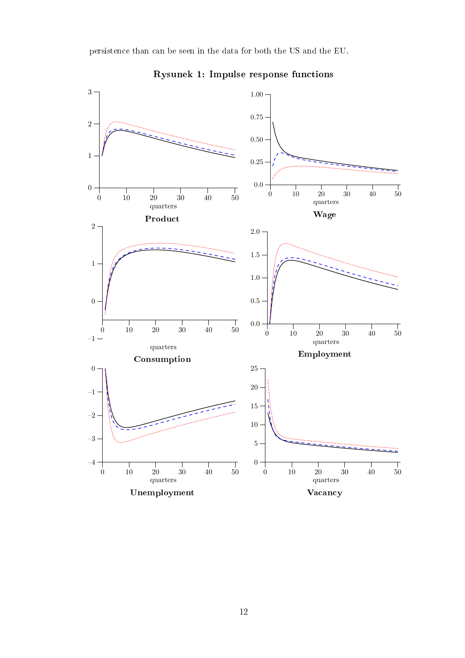

Rysunek 1: Impulse response functions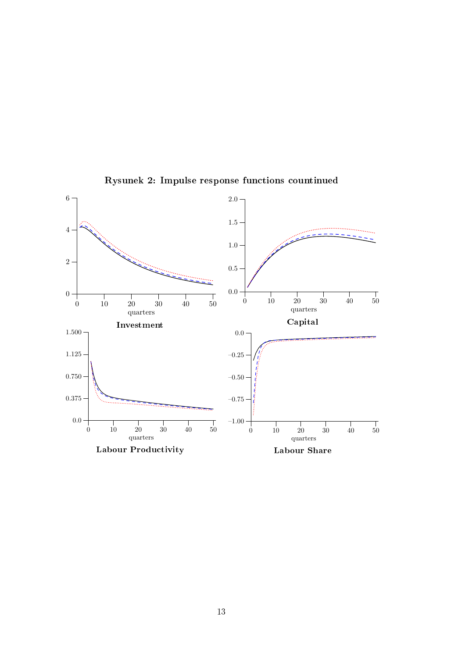

Rysunek 2: Impulse response functions countinued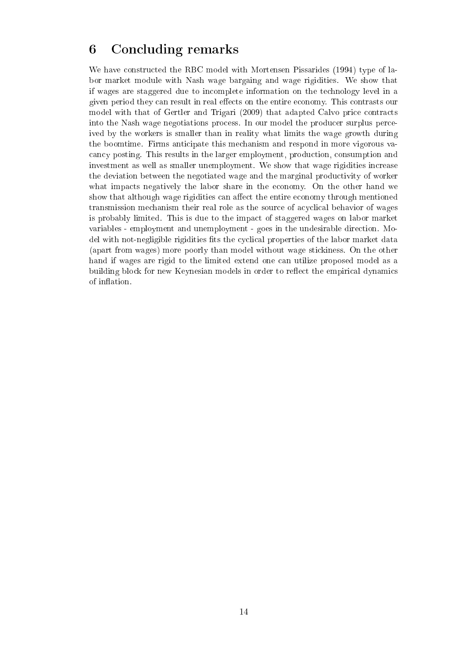# 6 Con
luding remarks

We have constructed the RBC model with Mortensen Pissarides (1994) type of labor market module with Nash wage bargaing and wage rigidities. We show that if wages are staggered due to in
omplete information on the te
hnology level in a given period they can result in real effects on the entire economy. This contrasts our model with that of Gertler and Trigari (2009) that adapted Calvo price contracts into the Nash wage negotiations pro
ess. In our model the produ
er surplus per
eived by the workers is smaller than in reality what limits the wage growth during the boomtime. Firms anti
ipate this me
hanism and respond in more vigorous va an
y posting. This results in the larger employment, produ
tion, onsumption and investment as well as smaller unemployment. We show that wage rigidities increase the deviation between the negotiated wage and the marginal produ
tivity of worker what impacts negatively the labor share in the economy. On the other hand we show that although wage rigidities can affect the entire economy through mentioned transmission mechanism their real role as the source of acyclical behavior of wages is probably limited. This is due to the impa
t of staggered wages on labor market variables - employment and unemployment - goes in the undesirable dire
tion. Model with not-negligible rigidities fits the cyclical properties of the labor market data (apart from wages) more poorly than model without wage sti
kiness. On the other hand if wages are rigid to the limited extend one an utilize proposed model as a building block for new Keynesian models in order to reflect the empirical dynamics of inflation.